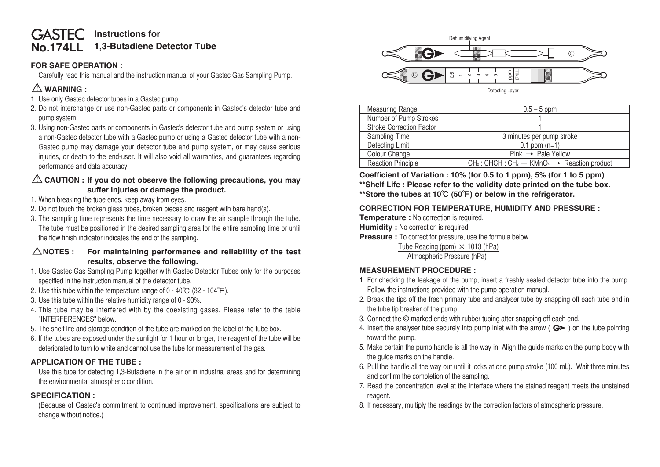#### **No.174LL GASTEC** Instructions for **1,3-Butadiene Detector Tube**

### **FOR SAFE OPERATION :**

 Carefully read this manual and the instruction manual of your Gastec Gas Sampling Pump.

# ⚠**WARNING :**

- 1. Use only Gastec detector tubes in a Gastec pump.
- 2. Do not interchange or use non-Gastec parts or components in Gastec's detector tube and pump system.
- 3. Using non-Gastec parts or components in Gastec's detector tube and pump system or using a non-Gastec detector tube with a Gastec pump or using a Gastec detector tube with a non-Gastec pump may damage your detector tube and pump system, or may cause serious injuries, or death to the end-user. It will also void all warranties, and guarantees regarding performance and data accuracy.

## ⚠**CAUTION : If you do not observe the following precautions, you may suffer injuries or damage the product.**

- 1. When breaking the tube ends, keep away from eyes.
- 2. Do not touch the broken glass tubes, broken pieces and reagent with bare hand(s).
- 3. The sampling time represents the time necessary to draw the air sample through the tube. The tube must be positioned in the desired sampling area for the entire sampling time or until the flow finish indicator indicates the end of the sampling.

### △**NOTES : For maintaining performance and reliability of the test results, observe the following.**

- 1. Use Gastec Gas Sampling Pump together with Gastec Detector Tubes only for the purposes specified in the instruction manual of the detector tube.
- 2. Use this tube within the temperature range of  $0 40^{\circ}$ C (32 104 $^{\circ}$ F).
- 3. Use this tube within the relative humidity range of 0 90%.
- 4. This tube may be interfered with by the coexisting gases. Please refer to the table "INTERFERENCES" below.
- 5. The shelf life and storage condition of the tube are marked on the label of the tube box.
- 6. If the tubes are exposed under the sunlight for 1 hour or longer, the reagent of the tube will be deteriorated to turn to white and cannot use the tube for measurement of the gas.

# **APPLICATION OF THE TUBE :**

 Use this tube for detecting 1,3-Butadiene in the air or in industrial areas and for determining the environmental atmospheric condition.

#### **SPECIFICATION :**

 (Because of Gastec's commitment to continued improvement, specifications are subject to change without notice.)



| $\circled{c}$                                                                                                                                                     | ă,<br>힘                                                                                                                                                                                                              |  |  |  |
|-------------------------------------------------------------------------------------------------------------------------------------------------------------------|----------------------------------------------------------------------------------------------------------------------------------------------------------------------------------------------------------------------|--|--|--|
|                                                                                                                                                                   | Detecting Layer                                                                                                                                                                                                      |  |  |  |
|                                                                                                                                                                   |                                                                                                                                                                                                                      |  |  |  |
| <b>Measuring Range</b>                                                                                                                                            | $0.5 - 5$ ppm                                                                                                                                                                                                        |  |  |  |
| Number of Pump Strokes                                                                                                                                            |                                                                                                                                                                                                                      |  |  |  |
| <b>Stroke Correction Factor</b>                                                                                                                                   |                                                                                                                                                                                                                      |  |  |  |
| Sampling Time                                                                                                                                                     | 3 minutes per pump stroke                                                                                                                                                                                            |  |  |  |
| <b>Detecting Limit</b>                                                                                                                                            | $0.1$ ppm $(n=1)$                                                                                                                                                                                                    |  |  |  |
| Colour Change                                                                                                                                                     | $Pink \rightarrow$ Pale Yellow                                                                                                                                                                                       |  |  |  |
| <b>Reaction Principle</b>                                                                                                                                         | $CH2$ : CHCH : CH <sub>2</sub> + KMnO <sub>4</sub> $\rightarrow$ Reaction product                                                                                                                                    |  |  |  |
|                                                                                                                                                                   | Coefficient of Variation : 10% (for 0.5 to 1 ppm), 5% (for 1 to 5 ppm)<br>**Shelf Life: Please refer to the validity date printed on the tube box.<br>**Store the tubes at 10°C (50°F) or below in the refrigerator. |  |  |  |
| <b>CORRECTION FOR TEMPERATURE, HUMIDITY AND PRESSURE :</b>                                                                                                        |                                                                                                                                                                                                                      |  |  |  |
| Temperature : No correction is required.                                                                                                                          |                                                                                                                                                                                                                      |  |  |  |
| <b>Humidity:</b> No correction is required.                                                                                                                       |                                                                                                                                                                                                                      |  |  |  |
| Pressure : To correct for pressure, use the formula below.                                                                                                        |                                                                                                                                                                                                                      |  |  |  |
| Tube Reading (ppm) $\times$ 1013 (hPa)                                                                                                                            |                                                                                                                                                                                                                      |  |  |  |
| Atmospheric Pressure (hPa)                                                                                                                                        |                                                                                                                                                                                                                      |  |  |  |
| <b>MEASUREMENT PROCEDURE:</b>                                                                                                                                     |                                                                                                                                                                                                                      |  |  |  |
| 1. For checking the leakage of the pump, insert a freshly sealed detector tube into the pump.<br>Follow the instructions provided with the pump operation manual. |                                                                                                                                                                                                                      |  |  |  |
| 2. Break the tips off the fresh primary tube and analyser tube by snapping off each tube end in<br>the tube tip breaker of the pump.                              |                                                                                                                                                                                                                      |  |  |  |
| 3. Connect the © marked ends with rubber tubing after snapping off each end.                                                                                      |                                                                                                                                                                                                                      |  |  |  |
| 4. Insert the analyser tube securely into pump inlet with the arrow ( $G$ ) on the tube pointing                                                                  |                                                                                                                                                                                                                      |  |  |  |
| toward the pump.                                                                                                                                                  |                                                                                                                                                                                                                      |  |  |  |
|                                                                                                                                                                   | 5. Make certain the pump handle is all the way in. Align the guide marks on the pump body with                                                                                                                       |  |  |  |
| the guide marks on the handle.                                                                                                                                    |                                                                                                                                                                                                                      |  |  |  |
|                                                                                                                                                                   |                                                                                                                                                                                                                      |  |  |  |
|                                                                                                                                                                   | 6. Pull the handle all the way out until it locks at one pump stroke (100 mL). Wait three minutes                                                                                                                    |  |  |  |
| and confirm the completion of the sampling.                                                                                                                       |                                                                                                                                                                                                                      |  |  |  |
|                                                                                                                                                                   | 7. Read the concentration level at the interface where the stained reagent meets the unstained                                                                                                                       |  |  |  |
| reagent.                                                                                                                                                          |                                                                                                                                                                                                                      |  |  |  |
|                                                                                                                                                                   | 8. If necessary, multiply the readings by the correction factors of atmospheric pressure.                                                                                                                            |  |  |  |

# **CORRECTION FOR TEMPERATURE, HUMIDITY AND PRESSURE :**

- **Temperature :** No correction is required.
- **Humidity** : No correction is required.
- **Pressure :** To correct for pressure, use the formula below.

# **MEASUREMENT PROCEDURE :**

- 1. For checking the leakage of the pump, insert a freshly sealed detector tube into the pump. Follow the instructions provided with the pump operation manual.
- 2. Break the tips off the fresh primary tube and analyser tube by snapping off each tube end in the tube tip breaker of the pump.
- 3. Connect the  $\odot$  marked ends with rubber tubing after snapping off each end.
- 4. Insert the analyser tube securely into pump inlet with the arrow ( $\mathbf{G}$  ) on the tube pointing toward the pump.
- 5. Make certain the pump handle is all the way in. Align the guide marks on the pump body with the guide marks on the handle.
- 6. Pull the handle all the way out until it locks at one pump stroke (100 mL). Wait three minutes and confirm the completion of the sampling.
- 7. Read the concentration level at the interface where the stained reagent meets the unstained reagent.
-